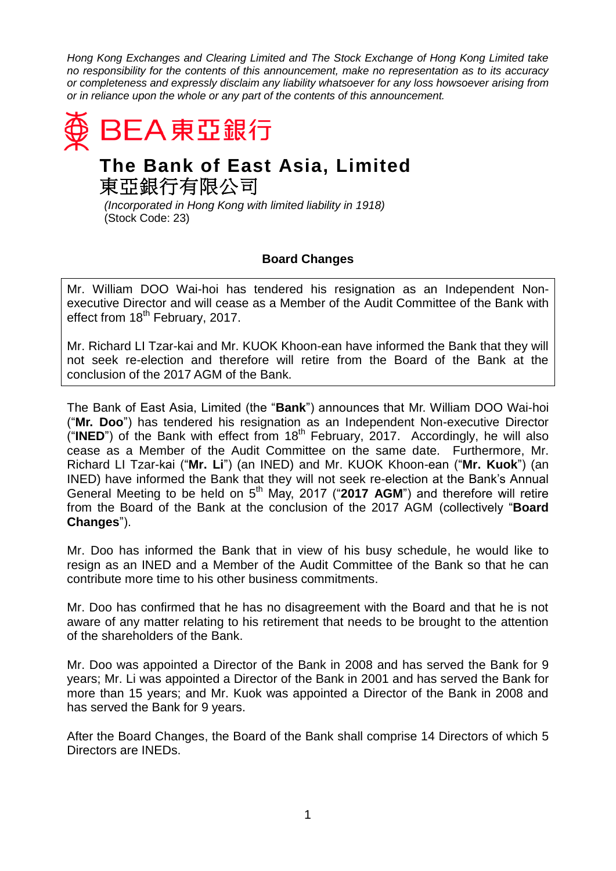*Hong Kong Exchanges and Clearing Limited and The Stock Exchange of Hong Kong Limited take no responsibility for the contents of this announcement, make no representation as to its accuracy or completeness and expressly disclaim any liability whatsoever for any loss howsoever arising from or in reliance upon the whole or any part of the contents of this announcement.*



## **The Bank of East Asia, Limited** 東亞銀行有限公司

*(Incorporated in Hong Kong with limited liability in 1918)* (Stock Code: 23)

## **Board Changes**

Mr. William DOO Wai-hoi has tendered his resignation as an Independent Nonexecutive Director and will cease as a Member of the Audit Committee of the Bank with effect from 18<sup>th</sup> February, 2017.

Mr. Richard LI Tzar-kai and Mr. KUOK Khoon-ean have informed the Bank that they will not seek re-election and therefore will retire from the Board of the Bank at the conclusion of the 2017 AGM of the Bank.

The Bank of East Asia, Limited (the "**Bank**") announces that Mr. William DOO Wai-hoi ("**Mr. Doo**") has tendered his resignation as an Independent Non-executive Director  $\hat{H}$  **INED**") of the Bank with effect from 18<sup>th</sup> February, 2017. Accordingly, he will also cease as a Member of the Audit Committee on the same date. Furthermore, Mr. Richard LI Tzar-kai ("**Mr. Li**") (an INED) and Mr. KUOK Khoon-ean ("**Mr. Kuok**") (an INED) have informed the Bank that they will not seek re-election at the Bank's Annual General Meeting to be held on 5<sup>th</sup> May, 2017 ("2017 AGM") and therefore will retire from the Board of the Bank at the conclusion of the 2017 AGM (collectively "**Board Changes**").

Mr. Doo has informed the Bank that in view of his busy schedule, he would like to resign as an INED and a Member of the Audit Committee of the Bank so that he can contribute more time to his other business commitments.

Mr. Doo has confirmed that he has no disagreement with the Board and that he is not aware of any matter relating to his retirement that needs to be brought to the attention of the shareholders of the Bank.

Mr. Doo was appointed a Director of the Bank in 2008 and has served the Bank for 9 years; Mr. Li was appointed a Director of the Bank in 2001 and has served the Bank for more than 15 years; and Mr. Kuok was appointed a Director of the Bank in 2008 and has served the Bank for 9 years.

After the Board Changes, the Board of the Bank shall comprise 14 Directors of which 5 Directors are INEDs.